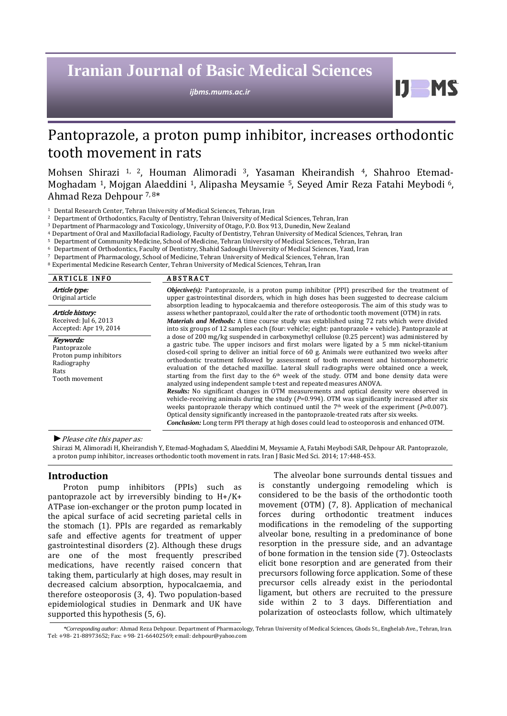# **Iranian Journal of Basic Medical Sciences**

*ijbms.mums.ac.ir*

 $\mathbf{D}$ 

## Pantoprazole, a proton pump inhibitor, increases orthodontic tooth movement in rats

Mohsen Shirazi 1, 2, Houman Alimoradi 3, Yasaman Kheirandish 4, Shahroo Etemad‐ Moghadam 1, Mojgan Alaeddini 1, Alipasha Meysamie 5, Seyed Amir Reza Fatahi Meybodi 6, Ahmad Reza Dehpour 7, 8\*

<sup>1</sup> Dental Research Center, Tehran University of Medical Sciences, Tehran, Iran

<sup>2</sup> Department of Orthodontics, Faculty of Dentistry, Tehran University of Medical Sciences, Tehran, Iran

3 Department of Pharmacology and Toxicology, University of Otago, P.O. Box 913, Dunedin, New Zealand

4 Department of Oral and Maxillofacial Radiology, Faculty of Dentistry, Tehran University of Medical Sciences, Tehran, Iran

<sup>5</sup> Department of Community Medicine, School of Medicine, Tehran University of Medical Sciences, Tehran, Iran

<sup>6</sup> Department of Orthodontics, Faculty of Dentistry, Shahid Sadoughi University of Medical Sciences, Yazd, Iran

<sup>7</sup> Department of Pharmacology, School of Medicine, Tehran University of Medical Sciences, Tehran, Iran

<sup>8</sup> Experimental Medicine Research Center, Tehran University of Medical Sciences, Tehran, Iran

| <b>ARTICLE INFO</b>                                                                          | <b>ABSTRACT</b>                                                                                                                                                                                                                                                                                                                                                                                                                                                                                                                                                                                                                                                                                                                                                                                                                                                                                                                                                                                                                                                                                                                                                                     |  |  |  |
|----------------------------------------------------------------------------------------------|-------------------------------------------------------------------------------------------------------------------------------------------------------------------------------------------------------------------------------------------------------------------------------------------------------------------------------------------------------------------------------------------------------------------------------------------------------------------------------------------------------------------------------------------------------------------------------------------------------------------------------------------------------------------------------------------------------------------------------------------------------------------------------------------------------------------------------------------------------------------------------------------------------------------------------------------------------------------------------------------------------------------------------------------------------------------------------------------------------------------------------------------------------------------------------------|--|--|--|
| Article type:<br>Original article                                                            | <b><i>Objective(s)</i></b> : Pantoprazole, is a proton pump inhibitor (PPI) prescribed for the treatment of<br>upper gastrointestinal disorders, which in high doses has been suggested to decrease calcium<br>absorption leading to hypocalcaemia and therefore osteoporosis. The aim of this study was to                                                                                                                                                                                                                                                                                                                                                                                                                                                                                                                                                                                                                                                                                                                                                                                                                                                                         |  |  |  |
| Article history:<br>Received: Jul 6, 2013<br>Accepted: Apr 19, 2014                          | assess whether pantoprazol, could alter the rate of orthodontic tooth movement (OTM) in rats.<br><b>Materials and Methods:</b> A time course study was established using 72 rats which were divided<br>into six groups of 12 samples each (four: vehicle; eight: pantoprazole + vehicle). Pantoprazole at                                                                                                                                                                                                                                                                                                                                                                                                                                                                                                                                                                                                                                                                                                                                                                                                                                                                           |  |  |  |
| Keywords:<br>Pantoprazole<br>Proton pump inhibitors<br>Radiography<br>Rats<br>Tooth movement | a dose of 200 mg/kg suspended in carboxymethyl cellulose (0.25 percent) was administered by<br>a gastric tube. The upper incisors and first molars were ligated by a 5 mm nickel-titanium<br>closed-coil spring to deliver an initial force of 60 g. Animals were euthanized two weeks after<br>orthodontic treatment followed by assessment of tooth movement and histomorphometric<br>evaluation of the detached maxillae. Lateral skull radiographs were obtained once a week,<br>starting from the first day to the $6th$ week of the study. OTM and bone density data were<br>analyzed using independent sample t-test and repeated measures ANOVA.<br><b>Results:</b> No significant changes in OTM measurements and optical density were observed in<br>vehicle-receiving animals during the study $(P=0.994)$ . OTM was significantly increased after six<br>weeks pantoprazole therapy which continued until the 7 <sup>th</sup> week of the experiment ( $P=0.007$ ).<br>Optical density significantly increased in the pantoprazole-treated rats after six weeks.<br><b>Conclusion:</b> Long term PPI therapy at high doses could lead to osteoporosis and enhanced OTM. |  |  |  |

*►*Please cite this paper as:

Shirazi M, Alimoradi H, Kheirandish Y, Etemad‐Moghadam S, Alaeddini M, Meysamie A, Fatahi Meybodi SAR, Dehpour AR. Pantoprazole, a proton pump inhibitor, increases orthodontic tooth movement in rats. Iran J Basic Med Sci. 2014; 17:448-453.

#### **Introduction**

Proton pump inhibitors (PPIs) such as pantoprazole act by irreversibly binding to H+/K+ ATPase ion-exchanger or the proton pump located in the apical surface of acid secreting parietal cells in the stomach (1). PPIs are regarded as remarkably safe and effective agents for treatment of upper gastrointestinal disorders (2). Although these drugs are one of the most frequently prescribed medications, have recently raised concern that taking them, particularly at high doses, may result in decreased calcium absorption, hypocalcaemia, and therefore osteoporosis (3, 4). Two population-based epidemiological studies in Denmark and UK have supported this hypothesis (5, 6).

The alveolar bone surrounds dental tissues and is constantly undergoing remodeling which is considered to be the basis of the orthodontic tooth movement (OTM) (7, 8). Application of mechanical forces during orthodontic treatment induces modifications in the remodeling of the supporting alveolar bone, resulting in a predominance of bone resorption in the pressure side, and an advantage of bone formation in the tension side (7). Osteoclasts elicit bone resorption and are generated from their precursors following force application. Some of these precursor cells already exist in the periodontal ligament, but others are recruited to the pressure side within 2 to 3 days. Differentiation and polarization of osteoclasts follow, which ultimately

*<sup>\*</sup>Corresponding author:* Ahmad Reza Dehpour. Department of Pharmacology, Tehran University of Medical Sciences, Ghods St., Enghelab Ave., Tehran, Iran. Tel: +98- 21-88973652; Fax: +98- 21-66402569; email[: dehpour@yahoo.com](mailto:dehpour@yahoo.com)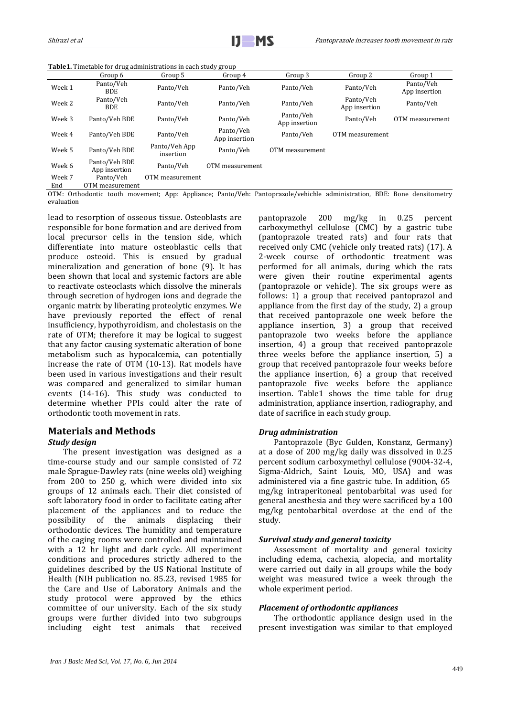| Table1. Timetable for drug administrations in each study group |  |
|----------------------------------------------------------------|--|
|                                                                |  |

|        | Group 6                        | Group 5                    | Group 4                    | Group 3                    | Group 2                    | Group 1                    |
|--------|--------------------------------|----------------------------|----------------------------|----------------------------|----------------------------|----------------------------|
| Week 1 | Panto/Veh<br><b>BDE</b>        | Panto/Veh                  | Panto/Veh                  | Panto/Veh                  | Panto/Veh                  | Panto/Veh<br>App insertion |
| Week 2 | Panto/Veh<br><b>BDE</b>        | Panto/Veh                  | Panto/Veh                  | Panto/Veh                  | Panto/Veh<br>App insertion | Panto/Veh                  |
| Week 3 | Panto/Veh BDE                  | Panto/Veh                  | Panto/Veh                  | Panto/Veh<br>App insertion | Panto/Veh                  | OTM measurement            |
| Week 4 | Panto/Veh BDE                  | Panto/Veh                  | Panto/Veh<br>App insertion | Panto/Veh                  | OTM measurement            |                            |
| Week 5 | Panto/Veh BDE                  | Panto/Veh App<br>insertion | Panto/Veh                  | OTM measurement            |                            |                            |
| Week 6 | Panto/Veh BDE<br>App insertion | Panto/Veh                  | OTM measurement            |                            |                            |                            |
| Week 7 | Panto/Veh                      | OTM measurement            |                            |                            |                            |                            |
| End    | OTM measurement                |                            |                            |                            |                            |                            |

OTM: Orthodontic tooth movement; App: Appliance; Panto/Veh: Pantoprazole/vehichle administration, BDE: Bone densitometry evaluation

lead to resorption of osseous tissue. Osteoblasts are responsible for bone formation and are derived from local precursor cells in the tension side, which differentiate into mature osteoblastic cells that produce osteoid. This is ensued by gradual mineralization and generation of bone (9). It has been shown that local and systemic factors are able to reactivate osteoclasts which dissolve the minerals through secretion of hydrogen ions and degrade the organic matrix by liberating proteolytic enzymes. We have previously reported the effect of renal insufficiency, hypothyroidism, and cholestasis on the rate of OTM; therefore it may be logical to suggest that any factor causing systematic alteration of bone metabolism such as hypocalcemia, can potentially increase the rate of OTM (10-13). Rat models have been used in various investigations and their result was compared and generalized to similar human events (14-16). This study was conducted to determine whether PPIs could alter the rate of orthodontic tooth movement in rats.

## **Materials and Methods** *Study design*

The present investigation was designed as a time-course study and our sample consisted of 72 male Sprague-Dawley rats (nine weeks old) weighing from 200 to 250 g, which were divided into six groups of 12 animals each. Their diet consisted of soft laboratory food in order to facilitate eating after placement of the appliances and to reduce the possibility of the animals displacing their of the animals displacing their orthodontic devices. The humidity and temperature of the caging rooms were controlled and maintained with a 12 hr light and dark cycle. All experiment conditions and procedures strictly adhered to the guidelines described by the US National Institute of Health (NIH publication no. 85.23, revised 1985 for the Care and Use of Laboratory Animals and the study protocol were approved by the ethics committee of our university. Each of the six study groups were further divided into two subgroups including eight test animals that received

pantoprazole 200 mg/kg in 0.25 percent carboxymethyl cellulose (CMC) by a gastric tube (pantoprazole treated rats) and four rats that received only CMC (vehicle only treated rats) (17). A 2-week course of orthodontic treatment was performed for all animals, during which the rats were given their routine experimental agents (pantoprazole or vehicle). The six groups were as follows: 1) a group that received pantoprazol and appliance from the first day of the study, 2) a group that received pantoprazole one week before the appliance insertion, 3) a group that received pantoprazole two weeks before the appliance insertion, 4) a group that received pantoprazole three weeks before the appliance insertion, 5) a group that received pantoprazole four weeks before the appliance insertion, 6) a group that received pantoprazole five weeks before the appliance insertion. Table1 shows the time table for drug administration, appliance insertion, radiography, and date of sacrifice in each study group.

#### *Drug administration*

Pantoprazole (Byc Gulden, Konstanz, Germany) at a dose of 200 mg/kg daily was dissolved in 0.25 percent sodium carboxymethyl cellulose (9004-32-4, Sigma-Aldrich, Saint Louis, MO, USA) and was administered via a fine gastric tube. In addition, 65 mg/kg intraperitoneal pentobarbital was used for general anesthesia and they were sacrificed by a 100 mg/kg pentobarbital overdose at the end of the study.

#### *Survival study and general toxicity*

Assessment of mortality and general toxicity including edema, cachexia, alopecia, and mortality were carried out daily in all groups while the body weight was measured twice a week through the whole experiment period.

#### *Placement of orthodontic appliances*

The orthodontic appliance design used in the present investigation was similar to that employed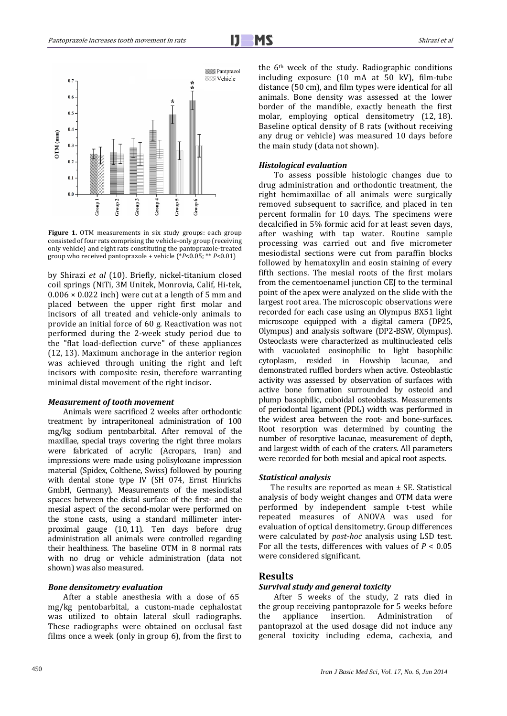Ī



**Figure 1.** OTM measurements in six study groups: each group consisted of four rats comprising the vehicle-only group (receiving only vehicle) and eight rats constituting the pantoprazole-treated group who received pantoprazole + vehicle (\**P*<0.05; \*\* *P*<0.01)

by Shirazi *et al* (10). Briefly, nickel-titanium closed coil springs (NiTi, 3M Unitek, Monrovia, Calif, Hi-tek,  $0.006 \times 0.022$  inch) were cut at a length of 5 mm and placed between the upper right first molar and incisors of all treated and vehicle-only animals to provide an initial force of 60 g. Reactivation was not performed during the 2-week study period due to the "flat load-deflection curve" of these appliances (12, 13). Maximum anchorage in the anterior region was achieved through uniting the right and left incisors with composite resin, therefore warranting minimal distal movement of the right incisor.

#### *Measurement of tooth movement*

Animals were sacrificed 2 weeks after orthodontic treatment by intraperitoneal administration of 100 mg/kg sodium pentobarbital. After removal of the maxillae, special trays covering the right three molars were fabricated of acrylic (Acropars, Iran) and impressions were made using polisyloxane impression material (Spidex, Colthene, Swiss) followed by pouring with dental stone type IV (SH 074, Ernst Hinrichs GmbH, Germany). Measurements of the mesiodistal spaces between the distal surface of the first- and the mesial aspect of the second-molar were performed on the stone casts, using a standard millimeter interproximal gauge (10, 11). Ten days before drug administration all animals were controlled regarding their healthiness. The baseline OTM in 8 normal rats with no drug or vehicle administration (data not shown) was also measured.

#### *Bone densitometry evaluation*

After a stable anesthesia with a dose of 65 mg/kg pentobarbital, a custom-made cephalostat was utilized to obtain lateral skull radiographs. These radiographs were obtained on occlusal fast films once a week (only in group 6), from the first to the 6th week of the study. Radiographic conditions including exposure (10 mA at 50 kV), film-tube distance (50 cm), and film types were identical for all animals. Bone density was assessed at the lower border of the mandible, exactly beneath the first molar, employing optical densitometry (12, 18). Baseline optical density of 8 rats (without receiving any drug or vehicle) was measured 10 days before the main study (data not shown).

## *Histological evaluation*

To assess possible histologic changes due to drug administration and orthodontic treatment, the right hemimaxillae of all animals were surgically removed subsequent to sacrifice, and placed in ten percent formalin for 10 days. The specimens were decalcified in 5% formic acid for at least seven days, after washing with tap water. Routine sample processing was carried out and five micrometer mesiodistal sections were cut from paraffin blocks followed by hematoxylin and eosin staining of every fifth sections. The mesial roots of the first molars from the cementoenamel junction CEJ to the terminal point of the apex were analyzed on the slide with the largest root area. The microscopic observations were recorded for each case using an Olympus BX51 light microscope equipped with a digital camera (DP25, Olympus) and analysis software (DP2-BSW, Olympus). Osteoclasts were characterized as multinucleated cells with vacuolated eosinophilic to light basophilic<br>cytoplasm, resided in Howship lacunae, and in Howship lacunae, and demonstrated ruffled borders when active. Osteoblastic activity was assessed by observation of surfaces with active bone formation surrounded by osteoid and plump basophilic, cuboidal osteoblasts. Measurements of periodontal ligament (PDL) width was performed in the widest area between the root- and bone-surfaces. Root resorption was determined by counting the number of resorptive lacunae, measurement of depth, and largest width of each of the craters. All parameters were recorded for both mesial and apical root aspects.

#### *Statistical analysis*

The results are reported as mean ± SE. Statistical analysis of body weight changes and OTM data were performed by independent sample t-test while repeated measures of ANOVA was used for evaluation of optical densitometry. Group differences were calculated by *post-hoc* analysis using LSD test. For all the tests, differences with values of *P* < 0.05 were considered significant.

## **Results**

## *Survival study and general toxicity*

After 5 weeks of the study, 2 rats died in the group receiving pantoprazole for 5 weeks before<br>the appliance insertion. Administration of Administration pantoprazol at the used dosage did not induce any general toxicity including edema, cachexia, and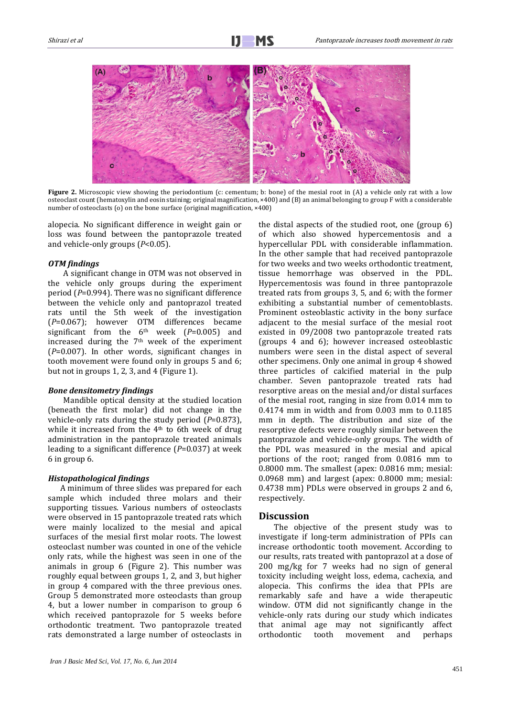

**Figure 2.** Microscopic view showing the periodontium (c: cementum; b: bone) of the mesial root in (A) a vehicle only rat with a low osteoclast count (hematoxylin and eosin staining; original magnification, ×400) and (B) an animal belonging to group F with a considerable number of osteoclasts (o) on the bone surface (original magnification, ×400)

alopecia. No significant difference in weight gain or loss was found between the pantoprazole treated and vehicle-only groups (*P*<0.05).

#### *OTM findings*

A significant change in OTM was not observed in the vehicle only groups during the experiment period (*P*=0.994). There was no significant difference between the vehicle only and pantoprazol treated rats until the 5th week of the investigation (*P*=0.067); however OTM differences became significant from the 6th week (*P*=0.005) and increased during the  $7<sup>th</sup>$  week of the experiment (*P*=0.007). In other words, significant changes in tooth movement were found only in groups 5 and 6; but not in groups 1, 2, 3, and 4 (Figure 1).

#### *Bone densitometry findings*

Mandible optical density at the studied location (beneath the first molar) did not change in the vehicle-only rats during the study period (*P*=0.873), while it increased from the  $4<sup>th</sup>$  to 6th week of drug administration in the pantoprazole treated animals leading to a significant difference (*P*=0.037) at week 6 in group 6.

## *Histopathological findings*

A minimum of three slides was prepared for each sample which included three molars and their supporting tissues. Various numbers of osteoclasts were observed in 15 pantoprazole treated rats which were mainly localized to the mesial and apical surfaces of the mesial first molar roots. The lowest osteoclast number was counted in one of the vehicle only rats, while the highest was seen in one of the animals in group 6 (Figure 2). This number was roughly equal between groups 1, 2, and 3, but higher in group 4 compared with the three previous ones. Group 5 demonstrated more osteoclasts than group 4, but a lower number in comparison to group 6 which received pantoprazole for 5 weeks before orthodontic treatment. Two pantoprazole treated rats demonstrated a large number of osteoclasts in the distal aspects of the studied root, one (group 6) of which also showed hypercementosis and a hypercellular PDL with considerable inflammation. In the other sample that had received pantoprazole for two weeks and two weeks orthodontic treatment, tissue hemorrhage was observed in the PDL. Hypercementosis was found in three pantoprazole treated rats from groups 3, 5, and 6; with the former exhibiting a substantial number of cementoblasts. Prominent osteoblastic activity in the bony surface adjacent to the mesial surface of the mesial root existed in 09/2008 two pantoprazole treated rats (groups 4 and 6); however increased osteoblastic numbers were seen in the distal aspect of several other specimens. Only one animal in group 4 showed three particles of calcified material in the pulp chamber. Seven pantoprazole treated rats had resorptive areas on the mesial and/or distal surfaces of the mesial root, ranging in size from 0.014 mm to 0.4174 mm in width and from 0.003 mm to 0.1185 mm in depth. The distribution and size of the resorptive defects were roughly similar between the pantoprazole and vehicle-only groups. The width of the PDL was measured in the mesial and apical portions of the root; ranged from 0.0816 mm to 0.8000 mm. The smallest (apex: 0.0816 mm; mesial: 0.0968 mm) and largest (apex: 0.8000 mm; mesial: 0.4738 mm) PDLs were observed in groups 2 and 6, respectively.

#### **Discussion**

The objective of the present study was to investigate if long-term administration of PPIs can increase orthodontic tooth movement. According to our results, rats treated with pantoprazol at a dose of 200 mg/kg for 7 weeks had no sign of general toxicity including weight loss, edema, cachexia, and alopecia. This confirms the idea that PPIs are remarkably safe and have a wide therapeutic window. OTM did not significantly change in the vehicle-only rats during our study which indicates that animal age may not significantly affect<br>orthodontic tooth movement and perhaps movement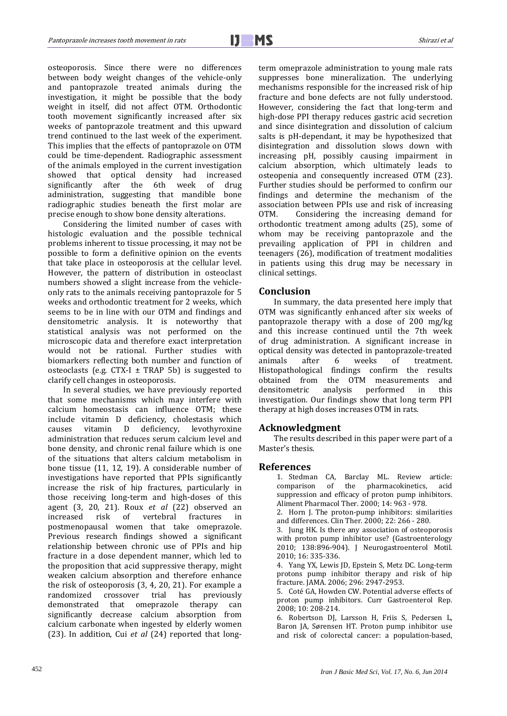Ī

osteoporosis. Since there were no differences between body weight changes of the vehicle-only and pantoprazole treated animals during the investigation, it might be possible that the body weight in itself, did not affect OTM. Orthodontic tooth movement significantly increased after six weeks of pantoprazole treatment and this upward trend continued to the last week of the experiment. This implies that the effects of pantoprazole on OTM could be time-dependent. Radiographic assessment of the animals employed in the current investigation<br>showed that ontical density had increased showed that optical density had increased<br>significantly after the 6th week of drug significantly after the 6th week administration, suggesting that mandible bone radiographic studies beneath the first molar are precise enough to show bone density alterations.

Considering the limited number of cases with histologic evaluation and the possible technical problems inherent to tissue processing, it may not be possible to form a definitive opinion on the events that take place in osteoporosis at the cellular level. However, the pattern of distribution in osteoclast numbers showed a slight increase from the vehicleonly rats to the animals receiving pantoprazole for 5 weeks and orthodontic treatment for 2 weeks, which seems to be in line with our OTM and findings and densitometric analysis. It is noteworthy that statistical analysis was not performed on the microscopic data and therefore exact interpretation would not be rational. Further studies with biomarkers reflecting both number and function of osteoclasts (e.g. CTX-I  $\pm$  TRAP 5b) is suggested to clarify cell changes in osteoporosis.

In several studies, we have previously reported that some mechanisms which may interfere with calcium homeostasis can influence OTM; these include vitamin D deficiency, cholestasis which deficiency, levothyroxine administration that reduces serum calcium level and bone density, and chronic renal failure which is one of the situations that alters calcium metabolism in bone tissue (11, 12, 19). A considerable number of investigations have reported that PPIs significantly increase the risk of hip fractures, particularly in those receiving long-term and high-doses of this agent (3, 20, 21). Roux *et al* (22) observed an increased risk of vertebral fractures in increased risk of vertebral fractures in postmenopausal women that take omeprazole. Previous research findings showed a significant relationship between chronic use of PPIs and hip fracture in a dose dependent manner, which led to the proposition that acid suppressive therapy, might weaken calcium absorption and therefore enhance the risk of osteoporosis (3, 4, 20, 21). For example a previously<br>rany can demonstrated that omeprazole therapy significantly decrease calcium absorption from calcium carbonate when ingested by elderly women (23). In addition, Cui *et al* (24) reported that longterm omeprazole administration to young male rats suppresses bone mineralization. The underlying mechanisms responsible for the increased risk of hip fracture and bone defects are not fully understood. However, considering the fact that long-term and high-dose PPI therapy reduces gastric acid secretion and since disintegration and dissolution of calcium salts is pH-dependant, it may be hypothesized that disintegration and dissolution slows down with increasing pH, possibly causing impairment in calcium absorption, which ultimately leads to osteopenia and consequently increased OTM (23). Further studies should be performed to confirm our findings and determine the mechanism of the association between PPIs use and risk of increasing<br>OTM. Considering the increasing demand for Considering the increasing demand for orthodontic treatment among adults (25), some of whom may be receiving pantoprazole and the prevailing application of PPI in children and teenagers (26), modification of treatment modalities in patients using this drug may be necessary in clinical settings.

## **Conclusion**

In summary, the data presented here imply that OTM was significantly enhanced after six weeks of pantoprazole therapy with a dose of 200 mg/kg and this increase continued until the 7th week of drug administration. A significant increase in optical density was detected in pantoprazole-treated<br>animals after 6 weeks of treatment. animals after 6 weeks of treatment. Histopathological findings confirm the results obtained from the OTM measurements and densitometric analysis performed in this densitometric analysis performed in this investigation. Our findings show that long term PPI therapy at high doses increases OTM in rats.

#### **Acknowledgment**

The results described in this paper were part of a Master's thesis.

#### **References**

1. Stedman CA, Barclay ML. Review article:<br>comparison of the pharmacokinetics, acid the pharmacokinetics, suppression and efficacy of proton pump inhibitors. Aliment Pharmacol Ther. 2000; 14: 963 - 978.

2. Horn J. The proton-pump inhibitors: similarities and differences. Clin Ther. 2000; 22: 266 - 280.

3. Jung HK. Is there any association of osteoporosis with proton pump inhibitor use? (Gastroenterology 2010; 138:896-904). J Neurogastroenterol Motil. 2010; 16: 335-336.

4. Yang YX, Lewis JD, Epstein S, Metz DC. Long-term protons pump inhibitor therapy and risk of hip fracture. JAMA. 2006; 296: 2947-2953.

5. Coté GA, Howden CW. Potential adverse effects of proton pump inhibitors. Curr Gastroenterol Rep. 2008; 10: 208-214.

6. Robertson DJ, Larsson H, Friis S, Pedersen L, Baron JA, Sørensen HT. Proton pump inhibitor use and risk of colorectal cancer: a population-based,